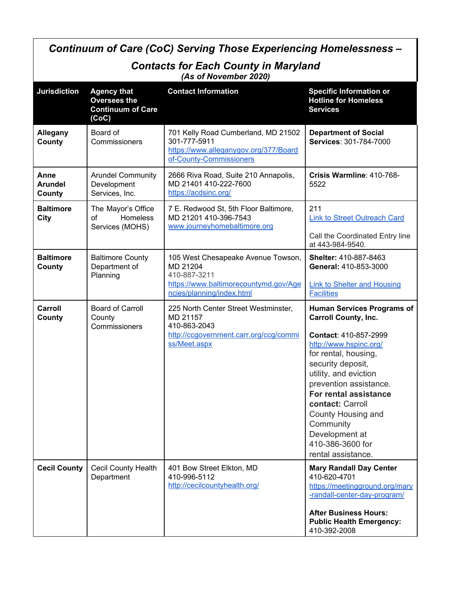| Continuum of Care (CoC) Serving Those Experiencing Homelessness -    |                                                                                |                                                                                                                                      |                                                                                                                                                                                                                                                                                                                                                                 |  |  |  |
|----------------------------------------------------------------------|--------------------------------------------------------------------------------|--------------------------------------------------------------------------------------------------------------------------------------|-----------------------------------------------------------------------------------------------------------------------------------------------------------------------------------------------------------------------------------------------------------------------------------------------------------------------------------------------------------------|--|--|--|
| <b>Contacts for Each County in Maryland</b><br>(As of November 2020) |                                                                                |                                                                                                                                      |                                                                                                                                                                                                                                                                                                                                                                 |  |  |  |
| <b>Jurisdiction</b>                                                  | <b>Agency that</b><br><b>Oversees the</b><br><b>Continuum of Care</b><br>(CoC) | <b>Contact Information</b>                                                                                                           | <b>Specific Information or</b><br><b>Hotline for Homeless</b><br><b>Services</b>                                                                                                                                                                                                                                                                                |  |  |  |
| Allegany<br>County                                                   | Board of<br>Commissioners                                                      | 701 Kelly Road Cumberland, MD 21502<br>301-777-5911<br>https://www.alleganygov.org/377/Board<br>of-County-Commissioners              | <b>Department of Social</b><br>Services: 301-784-7000                                                                                                                                                                                                                                                                                                           |  |  |  |
| Anne<br><b>Arundel</b><br>County                                     | <b>Arundel Community</b><br>Development<br>Services, Inc.                      | 2666 Riva Road, Suite 210 Annapolis,<br>MD 21401 410-222-7600<br>https://acdsinc.org/                                                | Crisis Warmline: 410-768-<br>5522                                                                                                                                                                                                                                                                                                                               |  |  |  |
| <b>Baltimore</b><br>City                                             | The Mayor's Office<br>Homeless<br>οf<br>Services (MOHS)                        | 7 E. Redwood St, 5th Floor Baltimore,<br>MD 21201 410-396-7543<br>www.journeyhomebaltimore.org                                       | 211<br><b>Link to Street Outreach Card</b><br>Call the Coordinated Entry line<br>at 443-984-9540.                                                                                                                                                                                                                                                               |  |  |  |
| <b>Baltimore</b><br>County                                           | <b>Baltimore County</b><br>Department of<br>Planning                           | 105 West Chesapeake Avenue Towson,<br>MD 21204<br>410-887-3211<br>https://www.baltimorecountymd.gov/Age<br>ncies/planning/index.html | <b>Shelter: 410-887-8463</b><br>General: 410-853-3000<br><b>Link to Shelter and Housing</b><br><b>Facilities</b>                                                                                                                                                                                                                                                |  |  |  |
| Carroll<br>County                                                    | <b>Board of Carroll</b><br>County<br>Commissioners                             | 225 North Center Street Westminster,<br>MD 21157<br>410-863-2043<br>http://ccgovernment.carr.org/ccg/commi<br>ss/Meet.aspx           | <b>Human Services Programs of</b><br><b>Carroll County, Inc.</b><br>Contact: 410-857-2999<br>http://www.hspinc.org/<br>for rental, housing,<br>security deposit,<br>utility, and eviction<br>prevention assistance.<br>For rental assistance<br>contact: Carroll<br>County Housing and<br>Community<br>Development at<br>410-386-3600 for<br>rental assistance. |  |  |  |
| <b>Cecil County</b>                                                  | Cecil County Health<br>Department                                              | 401 Bow Street Elkton, MD<br>410-996-5112<br>http://cecilcountyhealth.org/                                                           | <b>Mary Randall Day Center</b><br>410-620-4701<br>https://meetingground.org/mary<br>-randall-center-day-program/<br><b>After Business Hours:</b><br><b>Public Health Emergency:</b><br>410-392-2008                                                                                                                                                             |  |  |  |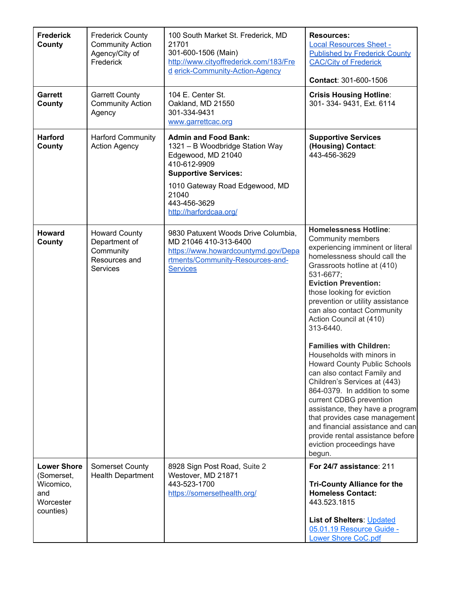| <b>Frederick</b><br>County                                                     | <b>Frederick County</b><br><b>Community Action</b><br>Agency/City of<br>Frederick      | 100 South Market St. Frederick, MD<br>21701<br>301-600-1506 (Main)<br>http://www.cityoffrederick.com/183/Fre<br>d erick-Community-Action-Agency                                                                          | <b>Resources:</b><br><b>Local Resources Sheet -</b><br><b>Published by Frederick County</b><br><b>CAC/City of Frederick</b><br>Contact: 301-600-1506                                                                                                                                                                                                                                                                                                                                                                                                                                                                                                                                                                                                                |
|--------------------------------------------------------------------------------|----------------------------------------------------------------------------------------|--------------------------------------------------------------------------------------------------------------------------------------------------------------------------------------------------------------------------|---------------------------------------------------------------------------------------------------------------------------------------------------------------------------------------------------------------------------------------------------------------------------------------------------------------------------------------------------------------------------------------------------------------------------------------------------------------------------------------------------------------------------------------------------------------------------------------------------------------------------------------------------------------------------------------------------------------------------------------------------------------------|
| <b>Garrett</b><br>County                                                       | <b>Garrett County</b><br><b>Community Action</b><br>Agency                             | 104 E. Center St.<br>Oakland, MD 21550<br>301-334-9431<br>www.garrettcac.org                                                                                                                                             | <b>Crisis Housing Hotline:</b><br>301-334-9431, Ext. 6114                                                                                                                                                                                                                                                                                                                                                                                                                                                                                                                                                                                                                                                                                                           |
| <b>Harford</b><br>County                                                       | <b>Harford Community</b><br><b>Action Agency</b>                                       | <b>Admin and Food Bank:</b><br>1321 - B Woodbridge Station Way<br>Edgewood, MD 21040<br>410-612-9909<br><b>Supportive Services:</b><br>1010 Gateway Road Edgewood, MD<br>21040<br>443-456-3629<br>http://harfordcaa.org/ | <b>Supportive Services</b><br>(Housing) Contact:<br>443-456-3629                                                                                                                                                                                                                                                                                                                                                                                                                                                                                                                                                                                                                                                                                                    |
| <b>Howard</b><br>County                                                        | <b>Howard County</b><br>Department of<br>Community<br>Resources and<br><b>Services</b> | 9830 Patuxent Woods Drive Columbia,<br>MD 21046 410-313-6400<br>https://www.howardcountymd.gov/Depa<br>rtments/Community-Resources-and-<br><b>Services</b>                                                               | <b>Homelessness Hotline:</b><br><b>Community members</b><br>experiencing imminent or literal<br>homelessness should call the<br>Grassroots hotline at (410)<br>531-6677;<br><b>Eviction Prevention:</b><br>those looking for eviction<br>prevention or utility assistance<br>can also contact Community<br>Action Council at (410)<br>313-6440.<br><b>Families with Children:</b><br>Households with minors in<br><b>Howard County Public Schools</b><br>can also contact Family and<br>Children's Services at (443)<br>864-0379. In addition to some<br>current CDBG prevention<br>assistance, they have a program<br>that provides case management<br>and financial assistance and can<br>provide rental assistance before<br>eviction proceedings have<br>begun. |
| <b>Lower Shore</b><br>(Somerset,<br>Wicomico,<br>and<br>Worcester<br>counties) | <b>Somerset County</b><br><b>Health Department</b>                                     | 8928 Sign Post Road, Suite 2<br>Westover, MD 21871<br>443-523-1700<br>https://somersethealth.org/                                                                                                                        | For 24/7 assistance: 211<br><b>Tri-County Alliance for the</b><br><b>Homeless Contact:</b><br>443.523.1815<br><b>List of Shelters: Updated</b><br>05.01.19 Resource Guide -<br>Lower Shore CoC.pdf                                                                                                                                                                                                                                                                                                                                                                                                                                                                                                                                                                  |